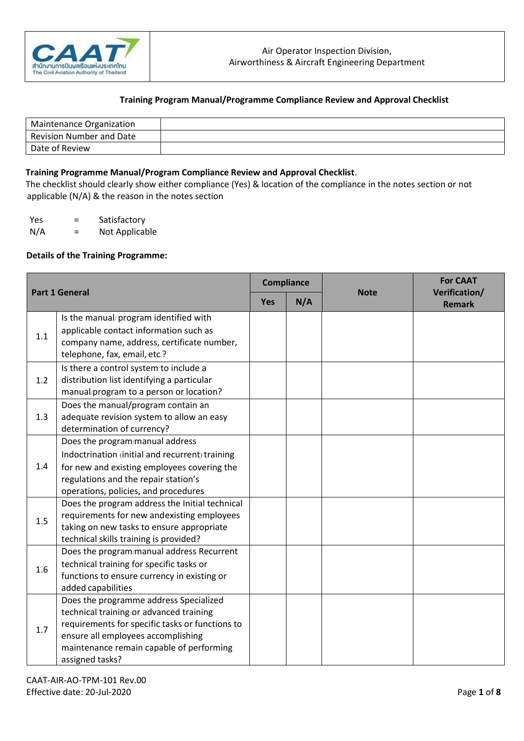

| <b>Maintenance Organization</b> |  |
|---------------------------------|--|
| <b>Revision Number and Date</b> |  |
| Date of Review                  |  |

#### **Training Programme Manual/Program Compliance Review and Approval Checklist**.

The checklist should clearly show either compliance (Yes) & location of the compliance in the notes section or not applicable (N/A) & the reason in the notes section

Yes = Satisfactory N/A = Not Applicable

#### **Details of the Training Programme:**

| <b>Part 1 General</b> |                                                                                                                                                                                                                                           | <b>Compliance</b> |     |             | <b>For CAAT</b>                |
|-----------------------|-------------------------------------------------------------------------------------------------------------------------------------------------------------------------------------------------------------------------------------------|-------------------|-----|-------------|--------------------------------|
|                       |                                                                                                                                                                                                                                           | Yes               | N/A | <b>Note</b> | Verification/<br><b>Remark</b> |
| 1.1                   | Is the manual/program identified with<br>applicable contact information such as<br>company name, address, certificate number,<br>telephone, fax, email, etc.?                                                                             |                   |     |             |                                |
| 1.2                   | Is there a control system to include a<br>distribution list identifying a particular<br>manual/program to a person or location?                                                                                                           |                   |     |             |                                |
| 1.3                   | Does the manual/program contain an<br>adequate revision system to allow an easy<br>determination of currency?                                                                                                                             |                   |     |             |                                |
| 1.4                   | Does the program/manual address<br>Indoctrination (initial and recurrent) training<br>for new and existing employees covering the<br>regulations and the repair station's<br>operations, policies, and procedures                         |                   |     |             |                                |
| 1.5                   | Does the program address the Initial technical<br>requirements for new andexisting employees<br>taking on new tasks to ensure appropriate<br>technical skills training is provided?                                                       |                   |     |             |                                |
| 1.6                   | Does the program/manual address Recurrent<br>technical training for specific tasks or<br>functions to ensure currency in existing or<br>added capabilities                                                                                |                   |     |             |                                |
| 1.7                   | Does the programme address Specialized<br>technical training or advanced training<br>requirements for specific tasks or functions to<br>ensure all employees accomplishing<br>maintenance remain capable of performing<br>assigned tasks? |                   |     |             |                                |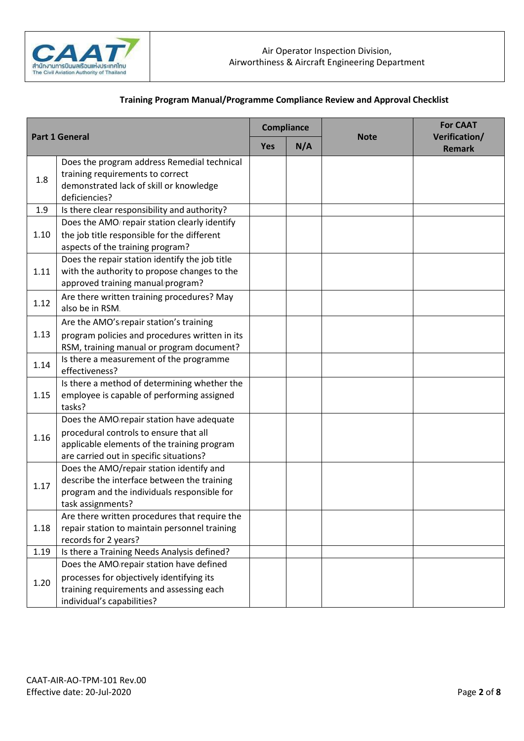

| <b>Part 1 General</b> |                                                                                                                                                                               | Compliance |     |             | <b>For CAAT</b>                |
|-----------------------|-------------------------------------------------------------------------------------------------------------------------------------------------------------------------------|------------|-----|-------------|--------------------------------|
|                       |                                                                                                                                                                               | <b>Yes</b> | N/A | <b>Note</b> | Verification/<br><b>Remark</b> |
| 1.8                   | Does the program address Remedial technical<br>training requirements to correct<br>demonstrated lack of skill or knowledge<br>deficiencies?                                   |            |     |             |                                |
| 1.9                   | Is there clear responsibility and authority?                                                                                                                                  |            |     |             |                                |
| 1.10                  | Does the AMO/ repair station clearly identify<br>the job title responsible for the different<br>aspects of the training program?                                              |            |     |             |                                |
| 1.11                  | Does the repair station identify the job title<br>with the authority to propose changes to the<br>approved training manual/program?                                           |            |     |             |                                |
| 1.12                  | Are there written training procedures? May<br>also be in RSM.                                                                                                                 |            |     |             |                                |
| 1.13                  | Are the AMO's/repair station's training<br>program policies and procedures written in its<br>RSM, training manual or program document?                                        |            |     |             |                                |
| 1.14                  | Is there a measurement of the programme<br>effectiveness?                                                                                                                     |            |     |             |                                |
| 1.15                  | Is there a method of determining whether the<br>employee is capable of performing assigned<br>tasks?                                                                          |            |     |             |                                |
| 1.16                  | Does the AMO/repair station have adequate<br>procedural controls to ensure that all<br>applicable elements of the training program<br>are carried out in specific situations? |            |     |             |                                |
| 1.17                  | Does the AMO/repair station identify and<br>describe the interface between the training<br>program and the individuals responsible for<br>task assignments?                   |            |     |             |                                |
| 1.18                  | Are there written procedures that require the<br>repair station to maintain personnel training<br>records for 2 years?                                                        |            |     |             |                                |
| 1.19                  | Is there a Training Needs Analysis defined?                                                                                                                                   |            |     |             |                                |
| 1.20                  | Does the AMO/repair station have defined<br>processes for objectively identifying its<br>training requirements and assessing each<br>individual's capabilities?               |            |     |             |                                |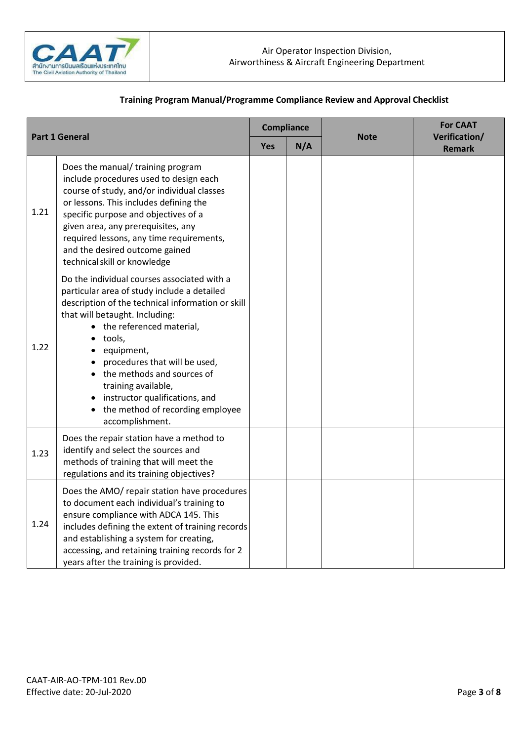

| <b>Part 1 General</b> |                                                                                                                                                                                                                                                                                                                                                                                                                          | <b>Compliance</b> |     |             | <b>For CAAT</b>                |
|-----------------------|--------------------------------------------------------------------------------------------------------------------------------------------------------------------------------------------------------------------------------------------------------------------------------------------------------------------------------------------------------------------------------------------------------------------------|-------------------|-----|-------------|--------------------------------|
|                       |                                                                                                                                                                                                                                                                                                                                                                                                                          |                   | N/A | <b>Note</b> | Verification/<br><b>Remark</b> |
| 1.21                  | Does the manual/ training program<br>include procedures used to design each<br>course of study, and/or individual classes<br>or lessons. This includes defining the<br>specific purpose and objectives of a<br>given area, any prerequisites, any<br>required lessons, any time requirements,<br>and the desired outcome gained<br>technical skill or knowledge                                                          |                   |     |             |                                |
| 1.22                  | Do the individual courses associated with a<br>particular area of study include a detailed<br>description of the technical information or skill<br>that will betaught. Including:<br>the referenced material,<br>tools,<br>equipment,<br>procedures that will be used,<br>the methods and sources of<br>training available,<br>• instructor qualifications, and<br>• the method of recording employee<br>accomplishment. |                   |     |             |                                |
| 1.23                  | Does the repair station have a method to<br>identify and select the sources and<br>methods of training that will meet the<br>regulations and its training objectives?                                                                                                                                                                                                                                                    |                   |     |             |                                |
| 1.24                  | Does the AMO/ repair station have procedures<br>to document each individual's training to<br>ensure compliance with ADCA 145. This<br>includes defining the extent of training records<br>and establishing a system for creating,<br>accessing, and retaining training records for 2<br>years after the training is provided.                                                                                            |                   |     |             |                                |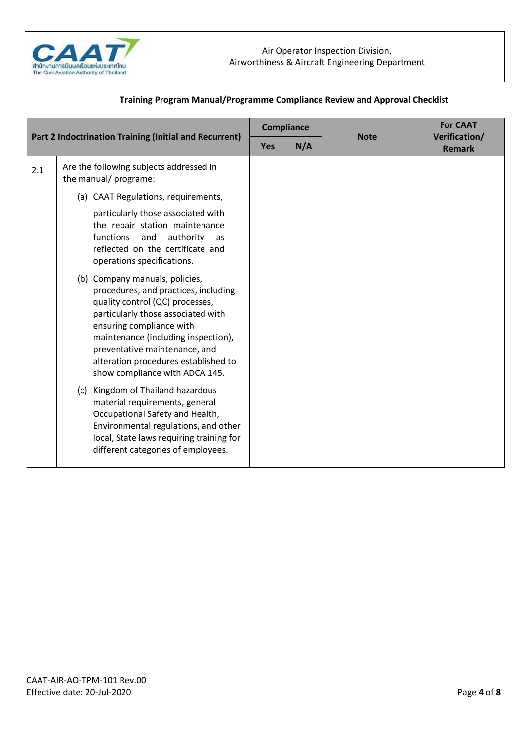

| <b>Part 2 Indoctrination Training (Initial and Recurrent)</b> |                                                                                                                                                                                                                                                                                                                                                             | <b>Compliance</b> |     | <b>Note</b> | <b>For CAAT</b><br>Verification/ |
|---------------------------------------------------------------|-------------------------------------------------------------------------------------------------------------------------------------------------------------------------------------------------------------------------------------------------------------------------------------------------------------------------------------------------------------|-------------------|-----|-------------|----------------------------------|
|                                                               |                                                                                                                                                                                                                                                                                                                                                             | <b>Yes</b>        | N/A |             | <b>Remark</b>                    |
| 2.1                                                           | Are the following subjects addressed in<br>the manual/ programe:                                                                                                                                                                                                                                                                                            |                   |     |             |                                  |
|                                                               | (a) CAAT Regulations, requirements,<br>particularly those associated with<br>the repair station maintenance<br>functions<br>and<br>authority<br>as<br>reflected on the certificate and                                                                                                                                                                      |                   |     |             |                                  |
|                                                               | operations specifications.<br>(b) Company manuals, policies,<br>procedures, and practices, including<br>quality control (QC) processes,<br>particularly those associated with<br>ensuring compliance with<br>maintenance (including inspection),<br>preventative maintenance, and<br>alteration procedures established to<br>show compliance with ADCA 145. |                   |     |             |                                  |
|                                                               | (c) Kingdom of Thailand hazardous<br>material requirements, general<br>Occupational Safety and Health,<br>Environmental regulations, and other<br>local, State laws requiring training for<br>different categories of employees.                                                                                                                            |                   |     |             |                                  |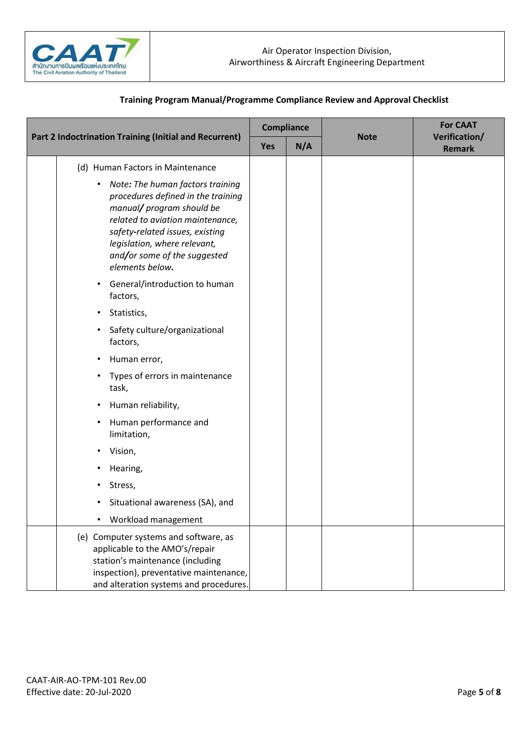

|  |                                                                                                                                                                                                                                                                            | Compliance |     |             | <b>For CAAT</b>                |
|--|----------------------------------------------------------------------------------------------------------------------------------------------------------------------------------------------------------------------------------------------------------------------------|------------|-----|-------------|--------------------------------|
|  | Part 2 Indoctrination Training (Initial and Recurrent)                                                                                                                                                                                                                     |            | N/A | <b>Note</b> | Verification/<br><b>Remark</b> |
|  | (d) Human Factors in Maintenance                                                                                                                                                                                                                                           |            |     |             |                                |
|  | Note: The human factors training<br>$\bullet$<br>procedures defined in the training<br>manual/ program should be<br>related to aviation maintenance,<br>safety-related issues, existing<br>legislation, where relevant,<br>and/or some of the suggested<br>elements below. |            |     |             |                                |
|  | • General/introduction to human<br>factors,                                                                                                                                                                                                                                |            |     |             |                                |
|  | Statistics,<br>$\bullet$                                                                                                                                                                                                                                                   |            |     |             |                                |
|  | Safety culture/organizational<br>$\bullet$<br>factors,                                                                                                                                                                                                                     |            |     |             |                                |
|  | Human error,<br>٠                                                                                                                                                                                                                                                          |            |     |             |                                |
|  | Types of errors in maintenance<br>$\bullet$<br>task,                                                                                                                                                                                                                       |            |     |             |                                |
|  | Human reliability,<br>٠                                                                                                                                                                                                                                                    |            |     |             |                                |
|  | Human performance and<br>$\bullet$<br>limitation,                                                                                                                                                                                                                          |            |     |             |                                |
|  | Vision,                                                                                                                                                                                                                                                                    |            |     |             |                                |
|  | Hearing,                                                                                                                                                                                                                                                                   |            |     |             |                                |
|  | Stress,<br>٠                                                                                                                                                                                                                                                               |            |     |             |                                |
|  | Situational awareness (SA), and<br>$\bullet$                                                                                                                                                                                                                               |            |     |             |                                |
|  | Workload management                                                                                                                                                                                                                                                        |            |     |             |                                |
|  | (e) Computer systems and software, as<br>applicable to the AMO's/repair<br>station's maintenance (including<br>inspection), preventative maintenance,<br>and alteration systems and procedures.                                                                            |            |     |             |                                |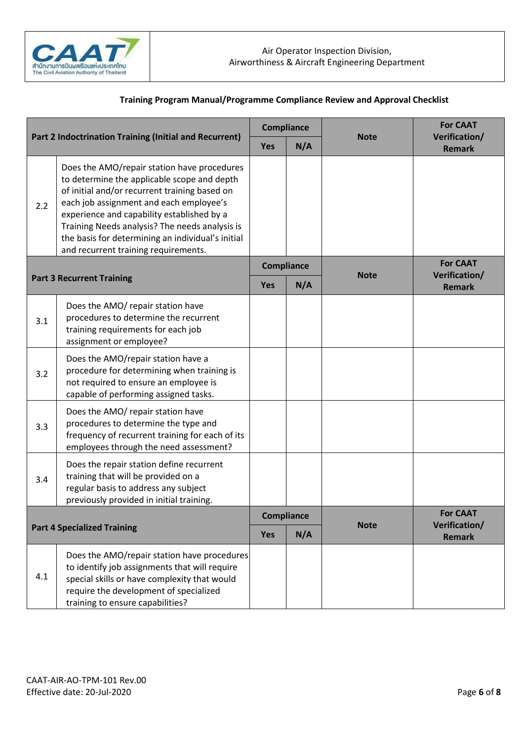

|                                    |                                                                                                                                                                                                                                                                                                                                                                                     | <b>Compliance</b> |                   |             | <b>For CAAT</b>                |
|------------------------------------|-------------------------------------------------------------------------------------------------------------------------------------------------------------------------------------------------------------------------------------------------------------------------------------------------------------------------------------------------------------------------------------|-------------------|-------------------|-------------|--------------------------------|
|                                    | <b>Part 2 Indoctrination Training (Initial and Recurrent)</b>                                                                                                                                                                                                                                                                                                                       |                   | N/A               | <b>Note</b> | Verification/<br><b>Remark</b> |
| 2.2                                | Does the AMO/repair station have procedures<br>to determine the applicable scope and depth<br>of initial and/or recurrent training based on<br>each job assignment and each employee's<br>experience and capability established by a<br>Training Needs analysis? The needs analysis is<br>the basis for determining an individual's initial<br>and recurrent training requirements. |                   |                   |             |                                |
|                                    |                                                                                                                                                                                                                                                                                                                                                                                     |                   | <b>Compliance</b> |             | <b>For CAAT</b>                |
|                                    | <b>Part 3 Recurrent Training</b>                                                                                                                                                                                                                                                                                                                                                    | Yes               | N/A               | <b>Note</b> | Verification/<br><b>Remark</b> |
| 3.1                                | Does the AMO/ repair station have<br>procedures to determine the recurrent<br>training requirements for each job<br>assignment or employee?                                                                                                                                                                                                                                         |                   |                   |             |                                |
| 3.2                                | Does the AMO/repair station have a<br>procedure for determining when training is<br>not required to ensure an employee is<br>capable of performing assigned tasks.                                                                                                                                                                                                                  |                   |                   |             |                                |
| 3.3                                | Does the AMO/ repair station have<br>procedures to determine the type and<br>frequency of recurrent training for each of its<br>employees through the need assessment?                                                                                                                                                                                                              |                   |                   |             |                                |
| 3.4                                | Does the repair station define recurrent<br>training that will be provided on a<br>regular basis to address any subject<br>previously provided in initial training.                                                                                                                                                                                                                 |                   |                   |             |                                |
| <b>Part 4 Specialized Training</b> |                                                                                                                                                                                                                                                                                                                                                                                     | <b>Compliance</b> |                   |             | <b>For CAAT</b>                |
|                                    |                                                                                                                                                                                                                                                                                                                                                                                     | <b>Yes</b>        | N/A               | <b>Note</b> | Verification/<br><b>Remark</b> |
| 4.1                                | Does the AMO/repair station have procedures<br>to identify job assignments that will require<br>special skills or have complexity that would<br>require the development of specialized<br>training to ensure capabilities?                                                                                                                                                          |                   |                   |             |                                |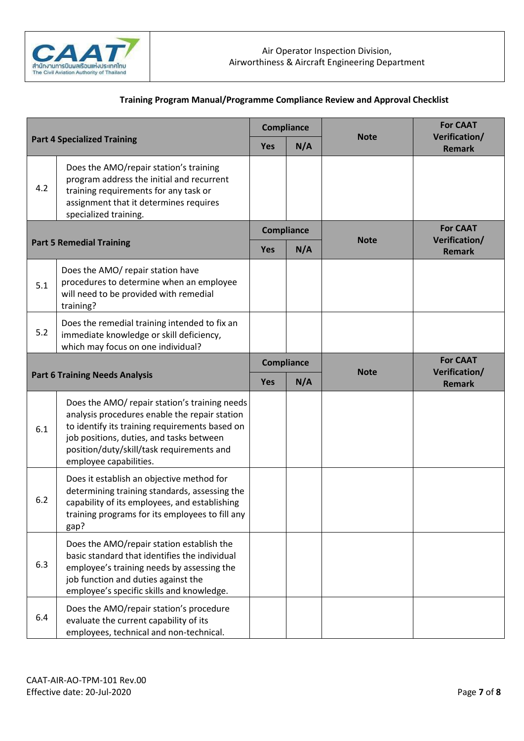

| <b>Part 4 Specialized Training</b> |                                                                                                                                                                                                                                                                     | <b>Compliance</b> |     | <b>Note</b> | <b>For CAAT</b><br>Verification/ |
|------------------------------------|---------------------------------------------------------------------------------------------------------------------------------------------------------------------------------------------------------------------------------------------------------------------|-------------------|-----|-------------|----------------------------------|
|                                    |                                                                                                                                                                                                                                                                     | <b>Yes</b>        | N/A |             | <b>Remark</b>                    |
| 4.2                                | Does the AMO/repair station's training<br>program address the initial and recurrent<br>training requirements for any task or<br>assignment that it determines requires<br>specialized training.                                                                     |                   |     |             |                                  |
|                                    |                                                                                                                                                                                                                                                                     | <b>Compliance</b> |     | <b>Note</b> | <b>For CAAT</b><br>Verification/ |
|                                    | <b>Part 5 Remedial Training</b>                                                                                                                                                                                                                                     | <b>Yes</b>        | N/A |             | <b>Remark</b>                    |
| 5.1                                | Does the AMO/ repair station have<br>procedures to determine when an employee<br>will need to be provided with remedial<br>training?                                                                                                                                |                   |     |             |                                  |
| 5.2                                | Does the remedial training intended to fix an<br>immediate knowledge or skill deficiency,<br>which may focus on one individual?                                                                                                                                     |                   |     |             |                                  |
|                                    |                                                                                                                                                                                                                                                                     | Compliance        |     | <b>Note</b> | <b>For CAAT</b><br>Verification/ |
|                                    | <b>Part 6 Training Needs Analysis</b>                                                                                                                                                                                                                               | <b>Yes</b>        | N/A |             | <b>Remark</b>                    |
| 6.1                                | Does the AMO/ repair station's training needs<br>analysis procedures enable the repair station<br>to identify its training requirements based on<br>job positions, duties, and tasks between<br>position/duty/skill/task requirements and<br>employee capabilities. |                   |     |             |                                  |
| 6.2                                | Does it establish an objective method for<br>determining training standards, assessing the<br>capability of its employees, and establishing<br>training programs for its employees to fill any<br>gap?                                                              |                   |     |             |                                  |
| 6.3                                | Does the AMO/repair station establish the<br>basic standard that identifies the individual<br>employee's training needs by assessing the<br>job function and duties against the<br>employee's specific skills and knowledge.                                        |                   |     |             |                                  |
| 6.4                                | Does the AMO/repair station's procedure<br>evaluate the current capability of its<br>employees, technical and non-technical.                                                                                                                                        |                   |     |             |                                  |